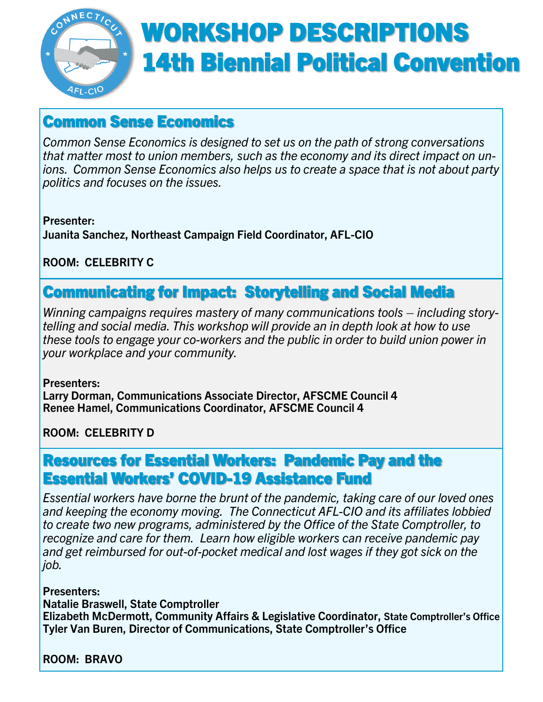

# WORKSHOP DESCRIPTIONS 14th Biennial Political Convention

## Common Sense Economics

*Common Sense Economics is designed to set us on the path of strong conversations that matter most to union members, such as the economy and its direct impact on unions. Common Sense Economics also helps us to create a space that is not about party politics and focuses on the issues.*

**Presenter: Juanita Sanchez, Northeast Campaign Field Coordinator, AFL-CIO**

**ROOM: CELEBRITY C**

### Communicating for Impact: Storytelling and Social Media

*Winning campaigns requires mastery of many communications tools – including storytelling and social media. This workshop will provide an in depth look at how to use these tools to engage your co-workers and the public in order to build union power in your workplace and your community.*

**Presenters: Larry Dorman, Communications Associate Director, AFSCME Council 4 Renee Hamel, Communications Coordinator, AFSCME Council 4**

**ROOM: CELEBRITY D**

### Resources for Essential Workers: Pandemic Pay and the Essential Workers' COVID-19 Assistance Fund

*Essential workers have borne the brunt of the pandemic, taking care of our loved ones and keeping the economy moving. The Connecticut AFL-CIO and its affiliates lobbied to create two new programs, administered by the Office of the State Comptroller, to recognize and care for them. Learn how eligible workers can receive pandemic pay and get reimbursed for out-of-pocket medical and lost wages if they got sick on the job.*

**Presenters:**

**Natalie Braswell, State Comptroller**

**Elizabeth McDermott, Community Affairs & Legislative Coordinator, State Comptroller's Office Tyler Van Buren, Director of Communications, State Comptroller's Office**

**ROOM: BRAVO**